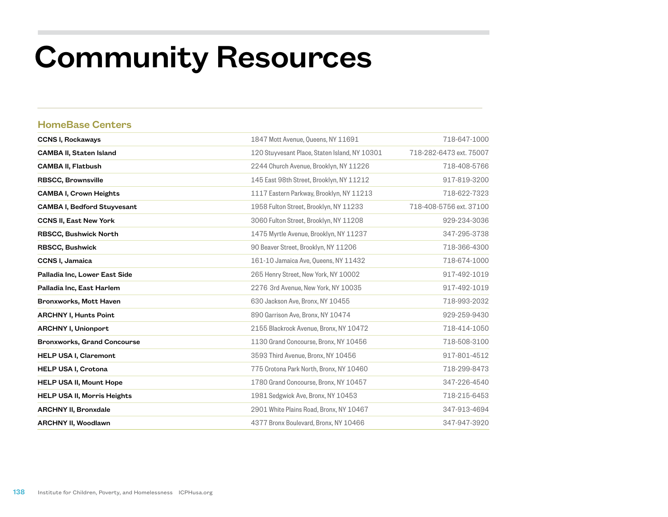## Community Resources

## HomeBase Centers

| <b>CCNS I, Rockaways</b>           | 1847 Mott Avenue, Queens, NY 11691            | 718-647-1000            |
|------------------------------------|-----------------------------------------------|-------------------------|
| <b>CAMBA II, Staten Island</b>     | 120 Stuyvesant Place, Staten Island, NY 10301 | 718-282-6473 ext. 75007 |
| <b>CAMBA II, Flatbush</b>          | 2244 Church Avenue, Brooklyn, NY 11226        | 718-408-5766            |
| <b>RBSCC, Brownsville</b>          | 145 East 98th Street, Brooklyn, NY 11212      | 917-819-3200            |
| <b>CAMBA I, Crown Heights</b>      | 1117 Eastern Parkway, Brooklyn, NY 11213      | 718-622-7323            |
| <b>CAMBA I, Bedford Stuyvesant</b> | 1958 Fulton Street, Brooklyn, NY 11233        | 718-408-5756 ext. 37100 |
| <b>CCNS II, East New York</b>      | 3060 Fulton Street, Brooklyn, NY 11208        | 929-234-3036            |
| <b>RBSCC, Bushwick North</b>       | 1475 Myrtle Avenue, Brooklyn, NY 11237        | 347-295-3738            |
| <b>RBSCC, Bushwick</b>             | 90 Beaver Street, Brooklyn, NY 11206          | 718-366-4300            |
| <b>CCNS I, Jamaica</b>             | 161-10 Jamaica Ave, Queens, NY 11432          | 718-674-1000            |
| Palladia Inc, Lower East Side      | 265 Henry Street, New York, NY 10002          | 917-492-1019            |
| Palladia Inc, East Harlem          | 2276 3rd Avenue, New York, NY 10035           | 917-492-1019            |
| Bronxworks, Mott Haven             | 630 Jackson Ave, Bronx, NY 10455              | 718-993-2032            |
| <b>ARCHNY I, Hunts Point</b>       | 890 Garrison Ave, Bronx, NY 10474             | 929-259-9430            |
| <b>ARCHNY I, Unionport</b>         | 2155 Blackrock Avenue, Bronx, NY 10472        | 718-414-1050            |
| <b>Bronxworks, Grand Concourse</b> | 1130 Grand Concourse, Bronx, NY 10456         | 718-508-3100            |
| <b>HELP USA I, Claremont</b>       | 3593 Third Avenue, Bronx, NY 10456            | 917-801-4512            |
| <b>HELP USA I, Crotona</b>         | 775 Crotona Park North, Bronx, NY 10460       | 718-299-8473            |
| <b>HELP USA II, Mount Hope</b>     | 1780 Grand Concourse, Bronx, NY 10457         | 347-226-4540            |
| <b>HELP USA II, Morris Heights</b> | 1981 Sedgwick Ave, Bronx, NY 10453            | 718-215-6453            |
| <b>ARCHNY II, Bronxdale</b>        | 2901 White Plains Road, Bronx, NY 10467       | 347-913-4694            |
| <b>ARCHNY II, Woodlawn</b>         | 4377 Bronx Boulevard, Bronx, NY 10466         | 347-947-3920            |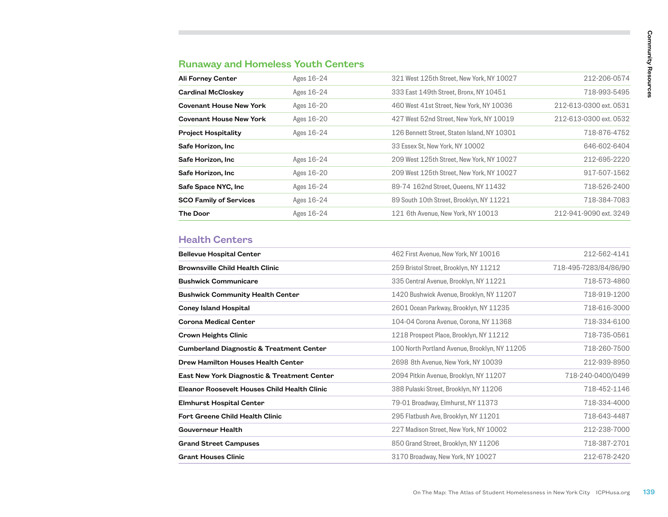## Runaway and Homeless Youth Centers

| Ali Forney Center              | Ages 16-24 | 321 West 125th Street, New York, NY 10027   | 212-206-0574           |
|--------------------------------|------------|---------------------------------------------|------------------------|
| <b>Cardinal McCloskey</b>      | Ages 16-24 | 333 East 149th Street, Bronx, NY 10451      | 718-993-5495           |
| <b>Covenant House New York</b> | Ages 16-20 | 460 West 41st Street, New York, NY 10036    | 212-613-0300 ext. 0531 |
| <b>Covenant House New York</b> | Ages 16-20 | 427 West 52nd Street, New York, NY 10019    | 212-613-0300 ext. 0532 |
| <b>Project Hospitality</b>     | Ages 16-24 | 126 Bennett Street, Staten Island, NY 10301 | 718-876-4752           |
| Safe Horizon, Inc              |            | 33 Essex St, New York, NY 10002             | 646-602-6404           |
| Safe Horizon, Inc.             | Ages 16-24 | 209 West 125th Street, New York, NY 10027   | 212-695-2220           |
| Safe Horizon, Inc.             | Ages 16-20 | 209 West 125th Street, New York, NY 10027   | 917-507-1562           |
| Safe Space NYC, Inc            | Ages 16-24 | 89-74 162nd Street, Queens, NY 11432        | 718-526-2400           |
| <b>SCO Family of Services</b>  | Ages 16-24 | 89 South 10th Street, Brooklyn, NY 11221    | 718-384-7083           |
| <b>The Door</b>                | Ages 16-24 | 121 6th Avenue, New York, NY 10013          | 212-941-9090 ext. 3249 |

## Health Centers

| Ali Forney Center                                                      | Ages 16-24 | 321 West 125th Street, New York, NY 10027                                          | 212-206-0574                 |
|------------------------------------------------------------------------|------------|------------------------------------------------------------------------------------|------------------------------|
| <b>Cardinal McCloskey</b>                                              | Ages 16-24 | 333 East 149th Street, Bronx, NY 10451                                             | 718-993-5495                 |
| <b>Covenant House New York</b>                                         | Ages 16-20 | 460 West 41st Street, New York, NY 10036                                           | 212-613-0300 ext. 0531       |
| <b>Covenant House New York</b>                                         | Ages 16-20 | 427 West 52nd Street, New York, NY 10019                                           | 212-613-0300 ext. 0532       |
| <b>Project Hospitality</b>                                             | Ages 16-24 | 126 Bennett Street. Staten Island. NY 10301                                        | 718-876-4752                 |
| Safe Horizon, Inc                                                      |            | 33 Essex St, New York, NY 10002                                                    | 646-602-6404                 |
| Safe Horizon, Inc                                                      | Ages 16-24 | 209 West 125th Street, New York, NY 10027                                          | 212-695-2220                 |
| Safe Horizon, Inc                                                      | Ages 16-20 | 209 West 125th Street, New York, NY 10027                                          | 917-507-1562                 |
| Safe Space NYC, Inc                                                    | Ages 16-24 | 89-74 162nd Street, Queens, NY 11432                                               | 718-526-2400                 |
| <b>SCO Family of Services</b>                                          | Ages 16-24 | 89 South 10th Street, Brooklyn, NY 11221                                           | 718-384-7083                 |
| <b>The Door</b>                                                        | Ages 16-24 | 121 6th Avenue, New York, NY 10013                                                 | 212-941-9090 ext. 3249       |
| <b>Brownsville Child Health Clinic</b>                                 |            | 259 Bristol Street, Brooklyn, NY 11212                                             | 718-495-7283/84/86/90        |
| <b>Health Centers</b><br><b>Bellevue Hospital Center</b>               |            | 462 First Avenue, New York, NY 10016                                               | 212-562-4141                 |
|                                                                        |            |                                                                                    |                              |
| <b>Bushwick Communicare</b><br><b>Bushwick Community Health Center</b> |            | 335 Central Avenue, Brooklyn, NY 11221<br>1420 Bushwick Avenue, Brooklyn, NY 11207 | 718-573-4860<br>718-919-1200 |
| <b>Coney Island Hospital</b>                                           |            | 2601 Ocean Parkway, Brooklyn, NY 11235                                             | 718-616-3000                 |
| Corona Medical Center                                                  |            | 104-04 Corona Avenue, Corona, NY 11368                                             | 718-334-6100                 |
| <b>Crown Heights Clinic</b>                                            |            | 1218 Prospect Place, Brooklyn, NY 11212                                            | 718-735-0561                 |
| <b>Cumberland Diagnostic &amp; Treatment Center</b>                    |            | 100 North Portland Avenue, Brooklyn, NY 11205                                      | 718-260-7500                 |
| Drew Hamilton Houses Health Center                                     |            | 2698 8th Avenue, New York, NY 10039                                                | 212-939-8950                 |
| East New York Diagnostic & Treatment Center                            |            | 2094 Pitkin Avenue, Brooklyn, NY 11207                                             | 718-240-0400/0499            |
| Eleanor Roosevelt Houses Child Health Clinic                           |            | 388 Pulaski Street, Brooklyn, NY 11206                                             | 718-452-1146                 |
| <b>Elmhurst Hospital Center</b>                                        |            | 79-01 Broadway, Elmhurst, NY 11373                                                 | 718-334-4000                 |
| Fort Greene Child Health Clinic                                        |            | 295 Flatbush Ave, Brooklyn, NY 11201                                               | 718-643-4487                 |
| Gouverneur Health                                                      |            | 227 Madison Street, New York, NY 10002                                             | 212-238-7000                 |
| <b>Grand Street Campuses</b>                                           |            | 850 Grand Street, Brooklyn, NY 11206                                               | 718-387-2701                 |
| Grant Houses Clinic                                                    |            | 3170 Broadway, New York, NY 10027                                                  | 212-678-2420                 |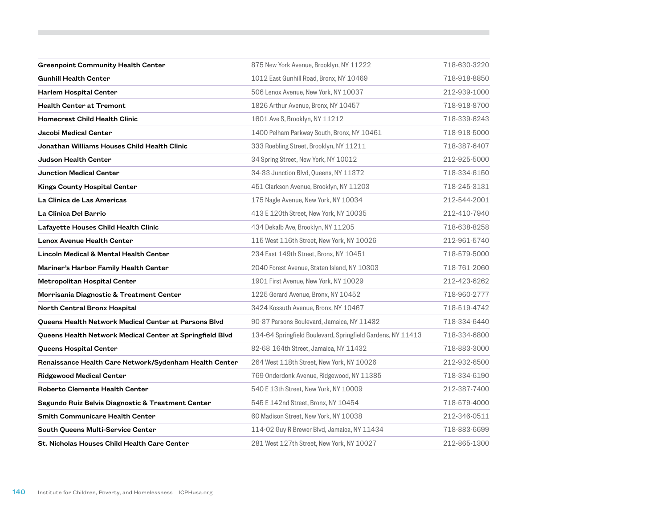| <b>Greenpoint Community Health Center</b>                | 875 New York Avenue, Brooklyn, NY 11222                     | 718-630-3220 |
|----------------------------------------------------------|-------------------------------------------------------------|--------------|
| <b>Gunhill Health Center</b>                             | 1012 East Gunhill Road, Bronx, NY 10469                     | 718-918-8850 |
| Harlem Hospital Center                                   | 506 Lenox Avenue, New York, NY 10037                        | 212-939-1000 |
| <b>Health Center at Tremont</b>                          | 1826 Arthur Avenue, Bronx, NY 10457                         | 718-918-8700 |
| <b>Homecrest Child Health Clinic</b>                     | 1601 Ave S, Brooklyn, NY 11212                              | 718-339-6243 |
| Jacobi Medical Center                                    | 1400 Pelham Parkway South, Bronx, NY 10461                  | 718-918-5000 |
| Jonathan Williams Houses Child Health Clinic             | 333 Roebling Street, Brooklyn, NY 11211                     | 718-387-6407 |
| <b>Judson Health Center</b>                              | 34 Spring Street, New York, NY 10012                        | 212-925-5000 |
| <b>Junction Medical Center</b>                           | 34-33 Junction Blvd, Queens, NY 11372                       | 718-334-6150 |
| Kings County Hospital Center                             | 451 Clarkson Avenue, Brooklyn, NY 11203                     | 718-245-3131 |
| La Clinica de Las Americas                               | 175 Nagle Avenue, New York, NY 10034                        | 212-544-2001 |
| La Clinica Del Barrio                                    | 413 E 120th Street, New York, NY 10035                      | 212-410-7940 |
| Lafayette Houses Child Health Clinic                     | 434 Dekalb Ave, Brooklyn, NY 11205                          | 718-638-8258 |
| <b>Lenox Avenue Health Center</b>                        | 115 West 116th Street, New York, NY 10026                   | 212-961-5740 |
| <b>Lincoln Medical &amp; Mental Health Center</b>        | 234 East 149th Street, Bronx, NY 10451                      | 718-579-5000 |
| Mariner's Harbor Family Health Center                    | 2040 Forest Avenue, Staten Island, NY 10303                 | 718-761-2060 |
| Metropolitan Hospital Center                             | 1901 First Avenue, New York, NY 10029                       | 212-423-6262 |
| Morrisania Diagnostic & Treatment Center                 | 1225 Gerard Avenue, Bronx, NY 10452                         | 718-960-2777 |
| North Central Bronx Hospital                             | 3424 Kossuth Avenue, Bronx, NY 10467                        | 718-519-4742 |
| Queens Health Network Medical Center at Parsons Blvd     | 90-37 Parsons Boulevard, Jamaica, NY 11432                  | 718-334-6440 |
| Queens Health Network Medical Center at Springfield Blvd | 134-64 Springfield Boulevard, Springfield Gardens, NY 11413 | 718-334-6800 |
| Queens Hospital Center                                   | 82-68 164th Street, Jamaica, NY 11432                       | 718-883-3000 |
| Renaissance Health Care Network/Sydenham Health Center   | 264 West 118th Street, New York, NY 10026                   | 212-932-6500 |
| <b>Ridgewood Medical Center</b>                          | 769 Onderdonk Avenue, Ridgewood, NY 11385                   | 718-334-6190 |
| Roberto Clemente Health Center                           | 540 E 13th Street, New York, NY 10009                       | 212-387-7400 |
| Segundo Ruiz Belvis Diagnostic & Treatment Center        | 545 E 142nd Street, Bronx, NY 10454                         | 718-579-4000 |
| Smith Communicare Health Center                          | 60 Madison Street, New York, NY 10038                       | 212-346-0511 |
| South Queens Multi-Service Center                        | 114-02 Guy R Brewer Blvd, Jamaica, NY 11434                 | 718-883-6699 |
| St. Nicholas Houses Child Health Care Center             | 281 West 127th Street, New York, NY 10027                   | 212-865-1300 |